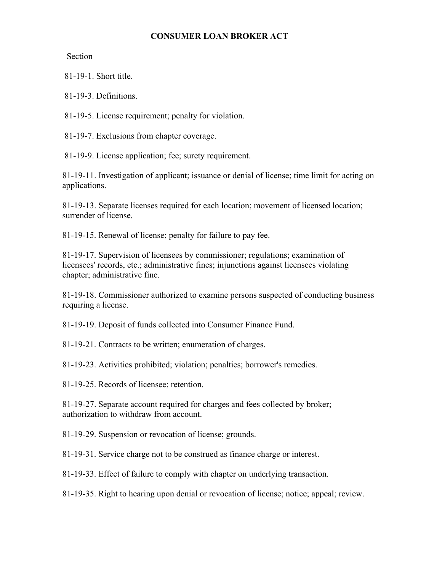#### **CONSUMER LOAN BROKER ACT**

Section

81-19-1. Short title.

81-19-3. Definitions.

81-19-5. License requirement; penalty for violation.

81-19-7. Exclusions from chapter coverage.

81-19-9. License application; fee; surety requirement.

81-19-11. Investigation of applicant; issuance or denial of license; time limit for acting on applications.

81-19-13. Separate licenses required for each location; movement of licensed location; surrender of license.

81-19-15. Renewal of license; penalty for failure to pay fee.

81-19-17. Supervision of licensees by commissioner; regulations; examination of licensees' records, etc.; administrative fines; injunctions against licensees violating chapter; administrative fine.

81-19-18. Commissioner authorized to examine persons suspected of conducting business requiring a license.

81-19-19. Deposit of funds collected into Consumer Finance Fund.

81-19-21. Contracts to be written; enumeration of charges.

81-19-23. Activities prohibited; violation; penalties; borrower's remedies.

81-19-25. Records of licensee; retention.

81-19-27. Separate account required for charges and fees collected by broker; authorization to withdraw from account.

81-19-29. Suspension or revocation of license; grounds.

81-19-31. Service charge not to be construed as finance charge or interest.

81-19-33. Effect of failure to comply with chapter on underlying transaction.

81-19-35. Right to hearing upon denial or revocation of license; notice; appeal; review.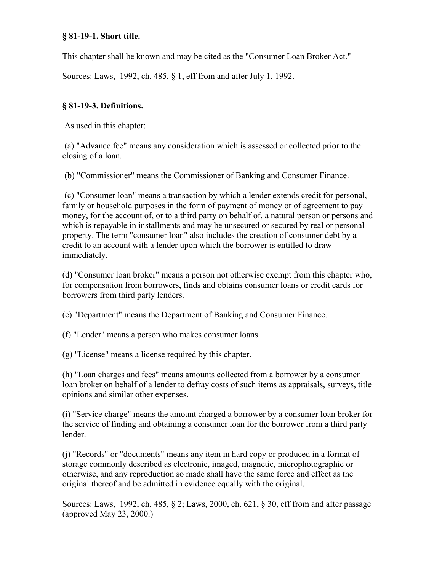This chapter shall be known and may be cited as the "Consumer Loan Broker Act."

Sources: Laws, 1992, ch. 485, § 1, eff from and after July 1, 1992.

## **§ 81-19-3. Definitions.**

As used in this chapter:

 (a) "Advance fee" means any consideration which is assessed or collected prior to the closing of a loan.

(b) "Commissioner" means the Commissioner of Banking and Consumer Finance.

 (c) "Consumer loan" means a transaction by which a lender extends credit for personal, family or household purposes in the form of payment of money or of agreement to pay money, for the account of, or to a third party on behalf of, a natural person or persons and which is repayable in installments and may be unsecured or secured by real or personal property. The term "consumer loan" also includes the creation of consumer debt by a credit to an account with a lender upon which the borrower is entitled to draw immediately.

(d) "Consumer loan broker" means a person not otherwise exempt from this chapter who, for compensation from borrowers, finds and obtains consumer loans or credit cards for borrowers from third party lenders.

(e) "Department" means the Department of Banking and Consumer Finance.

(f) "Lender" means a person who makes consumer loans.

(g) "License" means a license required by this chapter.

(h) "Loan charges and fees" means amounts collected from a borrower by a consumer loan broker on behalf of a lender to defray costs of such items as appraisals, surveys, title opinions and similar other expenses.

(i) "Service charge" means the amount charged a borrower by a consumer loan broker for the service of finding and obtaining a consumer loan for the borrower from a third party lender.

(j) "Records" or "documents" means any item in hard copy or produced in a format of storage commonly described as electronic, imaged, magnetic, microphotographic or otherwise, and any reproduction so made shall have the same force and effect as the original thereof and be admitted in evidence equally with the original.

Sources: Laws, 1992, ch. 485, § 2; Laws, 2000, ch. 621, § 30, eff from and after passage (approved May 23, 2000.)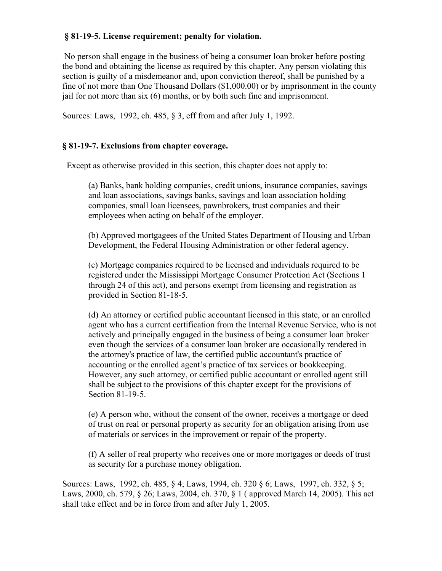#### **§ 81-19-5. License requirement; penalty for violation.**

 No person shall engage in the business of being a consumer loan broker before posting the bond and obtaining the license as required by this chapter. Any person violating this section is guilty of a misdemeanor and, upon conviction thereof, shall be punished by a fine of not more than One Thousand Dollars (\$1,000.00) or by imprisonment in the county jail for not more than six (6) months, or by both such fine and imprisonment.

Sources: Laws, 1992, ch. 485, § 3, eff from and after July 1, 1992.

## **§ 81-19-7. Exclusions from chapter coverage.**

Except as otherwise provided in this section, this chapter does not apply to:

(a) Banks, bank holding companies, credit unions, insurance companies, savings and loan associations, savings banks, savings and loan association holding companies, small loan licensees, pawnbrokers, trust companies and their employees when acting on behalf of the employer.

(b) Approved mortgagees of the United States Department of Housing and Urban Development, the Federal Housing Administration or other federal agency.

(c) Mortgage companies required to be licensed and individuals required to be registered under the Mississippi Mortgage Consumer Protection Act (Sections 1 through 24 of this act), and persons exempt from licensing and registration as provided in Section 81-18-5.

(d) An attorney or certified public accountant licensed in this state, or an enrolled agent who has a current certification from the Internal Revenue Service, who is not actively and principally engaged in the business of being a consumer loan broker even though the services of a consumer loan broker are occasionally rendered in the attorney's practice of law, the certified public accountant's practice of accounting or the enrolled agent's practice of tax services or bookkeeping. However, any such attorney, or certified public accountant or enrolled agent still shall be subject to the provisions of this chapter except for the provisions of Section 81-19-5.

(e) A person who, without the consent of the owner, receives a mortgage or deed of trust on real or personal property as security for an obligation arising from use of materials or services in the improvement or repair of the property.

(f) A seller of real property who receives one or more mortgages or deeds of trust as security for a purchase money obligation.

Sources: Laws, 1992, ch. 485, § 4; Laws, 1994, ch. 320 § 6; Laws, 1997, ch. 332, § 5; Laws, 2000, ch. 579, § 26; Laws, 2004, ch. 370, § 1 ( approved March 14, 2005). This act shall take effect and be in force from and after July 1, 2005.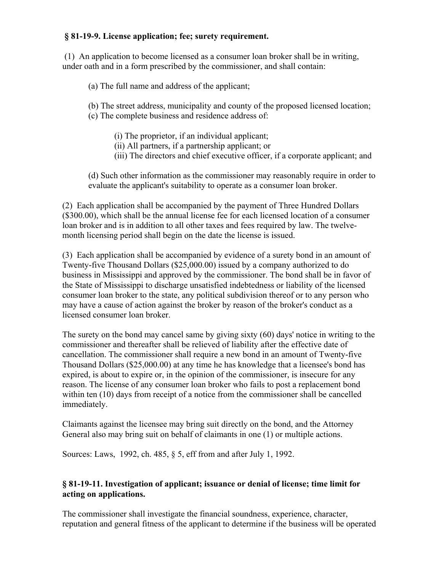#### **§ 81-19-9. License application; fee; surety requirement.**

 (1) An application to become licensed as a consumer loan broker shall be in writing, under oath and in a form prescribed by the commissioner, and shall contain:

(a) The full name and address of the applicant;

(b) The street address, municipality and county of the proposed licensed location;

- (c) The complete business and residence address of:
	- (i) The proprietor, if an individual applicant;
	- (ii) All partners, if a partnership applicant; or
	- (iii) The directors and chief executive officer, if a corporate applicant; and

(d) Such other information as the commissioner may reasonably require in order to evaluate the applicant's suitability to operate as a consumer loan broker.

(2) Each application shall be accompanied by the payment of Three Hundred Dollars (\$300.00), which shall be the annual license fee for each licensed location of a consumer loan broker and is in addition to all other taxes and fees required by law. The twelvemonth licensing period shall begin on the date the license is issued.

(3) Each application shall be accompanied by evidence of a surety bond in an amount of Twenty-five Thousand Dollars (\$25,000.00) issued by a company authorized to do business in Mississippi and approved by the commissioner. The bond shall be in favor of the State of Mississippi to discharge unsatisfied indebtedness or liability of the licensed consumer loan broker to the state, any political subdivision thereof or to any person who may have a cause of action against the broker by reason of the broker's conduct as a licensed consumer loan broker.

The surety on the bond may cancel same by giving sixty (60) days' notice in writing to the commissioner and thereafter shall be relieved of liability after the effective date of cancellation. The commissioner shall require a new bond in an amount of Twenty-five Thousand Dollars (\$25,000.00) at any time he has knowledge that a licensee's bond has expired, is about to expire or, in the opinion of the commissioner, is insecure for any reason. The license of any consumer loan broker who fails to post a replacement bond within ten (10) days from receipt of a notice from the commissioner shall be cancelled immediately.

Claimants against the licensee may bring suit directly on the bond, and the Attorney General also may bring suit on behalf of claimants in one (1) or multiple actions.

Sources: Laws, 1992, ch. 485, § 5, eff from and after July 1, 1992.

# **§ 81-19-11. Investigation of applicant; issuance or denial of license; time limit for acting on applications.**

The commissioner shall investigate the financial soundness, experience, character, reputation and general fitness of the applicant to determine if the business will be operated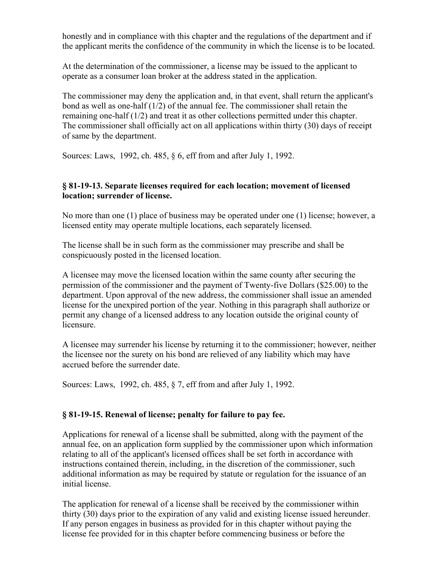honestly and in compliance with this chapter and the regulations of the department and if the applicant merits the confidence of the community in which the license is to be located.

At the determination of the commissioner, a license may be issued to the applicant to operate as a consumer loan broker at the address stated in the application.

The commissioner may deny the application and, in that event, shall return the applicant's bond as well as one-half  $(1/2)$  of the annual fee. The commissioner shall retain the remaining one-half (1/2) and treat it as other collections permitted under this chapter. The commissioner shall officially act on all applications within thirty (30) days of receipt of same by the department.

Sources: Laws, 1992, ch. 485, § 6, eff from and after July 1, 1992.

## **§ 81-19-13. Separate licenses required for each location; movement of licensed location; surrender of license.**

No more than one (1) place of business may be operated under one (1) license; however, a licensed entity may operate multiple locations, each separately licensed.

The license shall be in such form as the commissioner may prescribe and shall be conspicuously posted in the licensed location.

A licensee may move the licensed location within the same county after securing the permission of the commissioner and the payment of Twenty-five Dollars (\$25.00) to the department. Upon approval of the new address, the commissioner shall issue an amended license for the unexpired portion of the year. Nothing in this paragraph shall authorize or permit any change of a licensed address to any location outside the original county of licensure.

A licensee may surrender his license by returning it to the commissioner; however, neither the licensee nor the surety on his bond are relieved of any liability which may have accrued before the surrender date.

Sources: Laws, 1992, ch. 485, § 7, eff from and after July 1, 1992.

## **§ 81-19-15. Renewal of license; penalty for failure to pay fee.**

Applications for renewal of a license shall be submitted, along with the payment of the annual fee, on an application form supplied by the commissioner upon which information relating to all of the applicant's licensed offices shall be set forth in accordance with instructions contained therein, including, in the discretion of the commissioner, such additional information as may be required by statute or regulation for the issuance of an initial license.

The application for renewal of a license shall be received by the commissioner within thirty (30) days prior to the expiration of any valid and existing license issued hereunder. If any person engages in business as provided for in this chapter without paying the license fee provided for in this chapter before commencing business or before the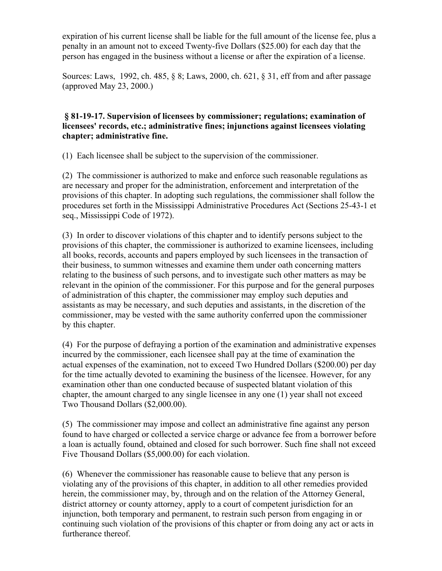expiration of his current license shall be liable for the full amount of the license fee, plus a penalty in an amount not to exceed Twenty-five Dollars (\$25.00) for each day that the person has engaged in the business without a license or after the expiration of a license.

Sources: Laws, 1992, ch. 485, § 8; Laws, 2000, ch. 621, § 31, eff from and after passage (approved May 23, 2000.)

#### **§ 81-19-17. Supervision of licensees by commissioner; regulations; examination of licensees' records, etc.; administrative fines; injunctions against licensees violating chapter; administrative fine.**

(1) Each licensee shall be subject to the supervision of the commissioner.

(2) The commissioner is authorized to make and enforce such reasonable regulations as are necessary and proper for the administration, enforcement and interpretation of the provisions of this chapter. In adopting such regulations, the commissioner shall follow the procedures set forth in the Mississippi Administrative Procedures Act (Sections 25-43-1 et seq., Mississippi Code of 1972).

(3) In order to discover violations of this chapter and to identify persons subject to the provisions of this chapter, the commissioner is authorized to examine licensees, including all books, records, accounts and papers employed by such licensees in the transaction of their business, to summon witnesses and examine them under oath concerning matters relating to the business of such persons, and to investigate such other matters as may be relevant in the opinion of the commissioner. For this purpose and for the general purposes of administration of this chapter, the commissioner may employ such deputies and assistants as may be necessary, and such deputies and assistants, in the discretion of the commissioner, may be vested with the same authority conferred upon the commissioner by this chapter.

(4) For the purpose of defraying a portion of the examination and administrative expenses incurred by the commissioner, each licensee shall pay at the time of examination the actual expenses of the examination, not to exceed Two Hundred Dollars (\$200.00) per day for the time actually devoted to examining the business of the licensee. However, for any examination other than one conducted because of suspected blatant violation of this chapter, the amount charged to any single licensee in any one (1) year shall not exceed Two Thousand Dollars (\$2,000.00).

(5) The commissioner may impose and collect an administrative fine against any person found to have charged or collected a service charge or advance fee from a borrower before a loan is actually found, obtained and closed for such borrower. Such fine shall not exceed Five Thousand Dollars (\$5,000.00) for each violation.

(6) Whenever the commissioner has reasonable cause to believe that any person is violating any of the provisions of this chapter, in addition to all other remedies provided herein, the commissioner may, by, through and on the relation of the Attorney General, district attorney or county attorney, apply to a court of competent jurisdiction for an injunction, both temporary and permanent, to restrain such person from engaging in or continuing such violation of the provisions of this chapter or from doing any act or acts in furtherance thereof.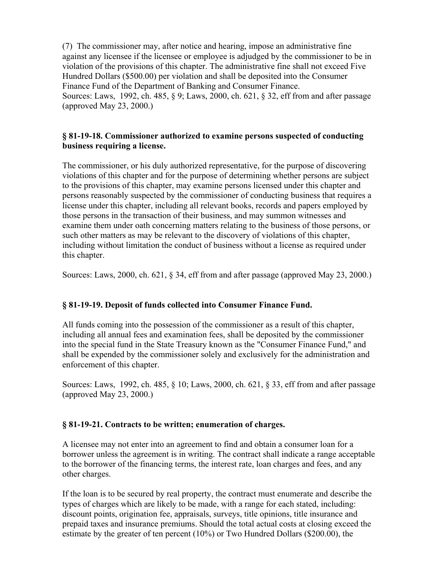(7) The commissioner may, after notice and hearing, impose an administrative fine against any licensee if the licensee or employee is adjudged by the commissioner to be in violation of the provisions of this chapter. The administrative fine shall not exceed Five Hundred Dollars (\$500.00) per violation and shall be deposited into the Consumer Finance Fund of the Department of Banking and Consumer Finance. Sources: Laws, 1992, ch. 485, § 9; Laws, 2000, ch. 621, § 32, eff from and after passage (approved May 23, 2000.)

## **§ 81-19-18. Commissioner authorized to examine persons suspected of conducting business requiring a license.**

The commissioner, or his duly authorized representative, for the purpose of discovering violations of this chapter and for the purpose of determining whether persons are subject to the provisions of this chapter, may examine persons licensed under this chapter and persons reasonably suspected by the commissioner of conducting business that requires a license under this chapter, including all relevant books, records and papers employed by those persons in the transaction of their business, and may summon witnesses and examine them under oath concerning matters relating to the business of those persons, or such other matters as may be relevant to the discovery of violations of this chapter, including without limitation the conduct of business without a license as required under this chapter.

Sources: Laws, 2000, ch. 621, § 34, eff from and after passage (approved May 23, 2000.)

## **§ 81-19-19. Deposit of funds collected into Consumer Finance Fund.**

All funds coming into the possession of the commissioner as a result of this chapter, including all annual fees and examination fees, shall be deposited by the commissioner into the special fund in the State Treasury known as the "Consumer Finance Fund," and shall be expended by the commissioner solely and exclusively for the administration and enforcement of this chapter.

Sources: Laws, 1992, ch. 485, § 10; Laws, 2000, ch. 621, § 33, eff from and after passage (approved May 23, 2000.)

## **§ 81-19-21. Contracts to be written; enumeration of charges.**

A licensee may not enter into an agreement to find and obtain a consumer loan for a borrower unless the agreement is in writing. The contract shall indicate a range acceptable to the borrower of the financing terms, the interest rate, loan charges and fees, and any other charges.

If the loan is to be secured by real property, the contract must enumerate and describe the types of charges which are likely to be made, with a range for each stated, including: discount points, origination fee, appraisals, surveys, title opinions, title insurance and prepaid taxes and insurance premiums. Should the total actual costs at closing exceed the estimate by the greater of ten percent (10%) or Two Hundred Dollars (\$200.00), the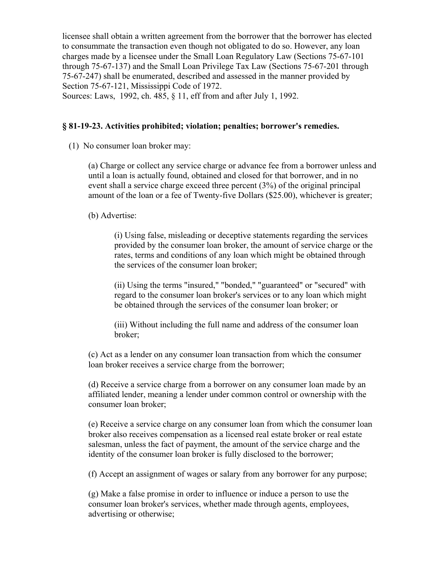licensee shall obtain a written agreement from the borrower that the borrower has elected to consummate the transaction even though not obligated to do so. However, any loan charges made by a licensee under the Small Loan Regulatory Law (Sections 75-67-101 through 75-67-137) and the Small Loan Privilege Tax Law (Sections 75-67-201 through 75-67-247) shall be enumerated, described and assessed in the manner provided by Section 75-67-121, Mississippi Code of 1972.

Sources: Laws, 1992, ch. 485, § 11, eff from and after July 1, 1992.

#### **§ 81-19-23. Activities prohibited; violation; penalties; borrower's remedies.**

(1) No consumer loan broker may:

(a) Charge or collect any service charge or advance fee from a borrower unless and until a loan is actually found, obtained and closed for that borrower, and in no event shall a service charge exceed three percent (3%) of the original principal amount of the loan or a fee of Twenty-five Dollars (\$25.00), whichever is greater;

(b) Advertise:

(i) Using false, misleading or deceptive statements regarding the services provided by the consumer loan broker, the amount of service charge or the rates, terms and conditions of any loan which might be obtained through the services of the consumer loan broker;

(ii) Using the terms "insured," "bonded," "guaranteed" or "secured" with regard to the consumer loan broker's services or to any loan which might be obtained through the services of the consumer loan broker; or

(iii) Without including the full name and address of the consumer loan broker;

(c) Act as a lender on any consumer loan transaction from which the consumer loan broker receives a service charge from the borrower;

(d) Receive a service charge from a borrower on any consumer loan made by an affiliated lender, meaning a lender under common control or ownership with the consumer loan broker;

(e) Receive a service charge on any consumer loan from which the consumer loan broker also receives compensation as a licensed real estate broker or real estate salesman, unless the fact of payment, the amount of the service charge and the identity of the consumer loan broker is fully disclosed to the borrower;

(f) Accept an assignment of wages or salary from any borrower for any purpose;

(g) Make a false promise in order to influence or induce a person to use the consumer loan broker's services, whether made through agents, employees, advertising or otherwise;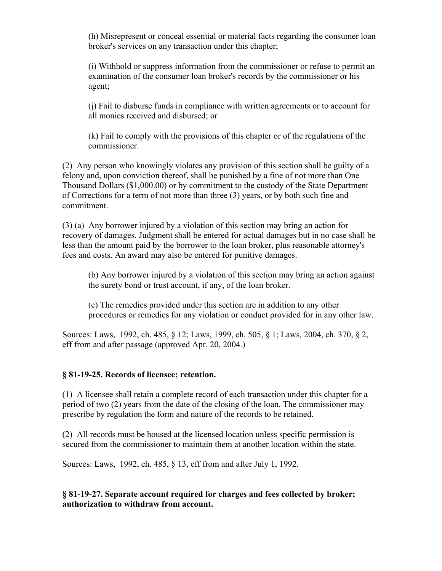(h) Misrepresent or conceal essential or material facts regarding the consumer loan broker's services on any transaction under this chapter;

(i) Withhold or suppress information from the commissioner or refuse to permit an examination of the consumer loan broker's records by the commissioner or his agent;

(j) Fail to disburse funds in compliance with written agreements or to account for all monies received and disbursed; or

(k) Fail to comply with the provisions of this chapter or of the regulations of the commissioner.

(2) Any person who knowingly violates any provision of this section shall be guilty of a felony and, upon conviction thereof, shall be punished by a fine of not more than One Thousand Dollars (\$1,000.00) or by commitment to the custody of the State Department of Corrections for a term of not more than three (3) years, or by both such fine and commitment.

(3) (a) Any borrower injured by a violation of this section may bring an action for recovery of damages. Judgment shall be entered for actual damages but in no case shall be less than the amount paid by the borrower to the loan broker, plus reasonable attorney's fees and costs. An award may also be entered for punitive damages.

(b) Any borrower injured by a violation of this section may bring an action against the surety bond or trust account, if any, of the loan broker.

(c) The remedies provided under this section are in addition to any other procedures or remedies for any violation or conduct provided for in any other law.

Sources: Laws, 1992, ch. 485, § 12; Laws, 1999, ch. 505, § 1; Laws, 2004, ch. 370, § 2, eff from and after passage (approved Apr. 20, 2004.)

#### **§ 81-19-25. Records of licensee; retention.**

(1) A licensee shall retain a complete record of each transaction under this chapter for a period of two (2) years from the date of the closing of the loan. The commissioner may prescribe by regulation the form and nature of the records to be retained.

(2) All records must be housed at the licensed location unless specific permission is secured from the commissioner to maintain them at another location within the state.

Sources: Laws, 1992, ch. 485, § 13, eff from and after July 1, 1992.

**§ 81-19-27. Separate account required for charges and fees collected by broker; authorization to withdraw from account.**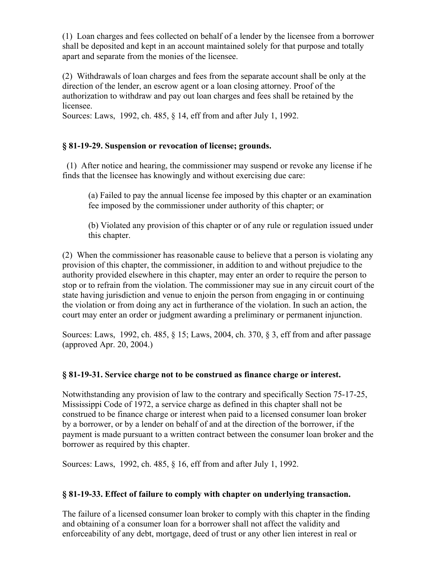(1) Loan charges and fees collected on behalf of a lender by the licensee from a borrower shall be deposited and kept in an account maintained solely for that purpose and totally apart and separate from the monies of the licensee.

(2) Withdrawals of loan charges and fees from the separate account shall be only at the direction of the lender, an escrow agent or a loan closing attorney. Proof of the authorization to withdraw and pay out loan charges and fees shall be retained by the licensee.

Sources: Laws, 1992, ch. 485, § 14, eff from and after July 1, 1992.

# **§ 81-19-29. Suspension or revocation of license; grounds.**

 (1) After notice and hearing, the commissioner may suspend or revoke any license if he finds that the licensee has knowingly and without exercising due care:

(a) Failed to pay the annual license fee imposed by this chapter or an examination fee imposed by the commissioner under authority of this chapter; or

(b) Violated any provision of this chapter or of any rule or regulation issued under this chapter.

(2) When the commissioner has reasonable cause to believe that a person is violating any provision of this chapter, the commissioner, in addition to and without prejudice to the authority provided elsewhere in this chapter, may enter an order to require the person to stop or to refrain from the violation. The commissioner may sue in any circuit court of the state having jurisdiction and venue to enjoin the person from engaging in or continuing the violation or from doing any act in furtherance of the violation. In such an action, the court may enter an order or judgment awarding a preliminary or permanent injunction.

Sources: Laws, 1992, ch. 485, § 15; Laws, 2004, ch. 370, § 3, eff from and after passage (approved Apr. 20, 2004.)

## **§ 81-19-31. Service charge not to be construed as finance charge or interest.**

Notwithstanding any provision of law to the contrary and specifically Section 75-17-25, Mississippi Code of 1972, a service charge as defined in this chapter shall not be construed to be finance charge or interest when paid to a licensed consumer loan broker by a borrower, or by a lender on behalf of and at the direction of the borrower, if the payment is made pursuant to a written contract between the consumer loan broker and the borrower as required by this chapter.

Sources: Laws, 1992, ch. 485, § 16, eff from and after July 1, 1992.

## **§ 81-19-33. Effect of failure to comply with chapter on underlying transaction.**

The failure of a licensed consumer loan broker to comply with this chapter in the finding and obtaining of a consumer loan for a borrower shall not affect the validity and enforceability of any debt, mortgage, deed of trust or any other lien interest in real or